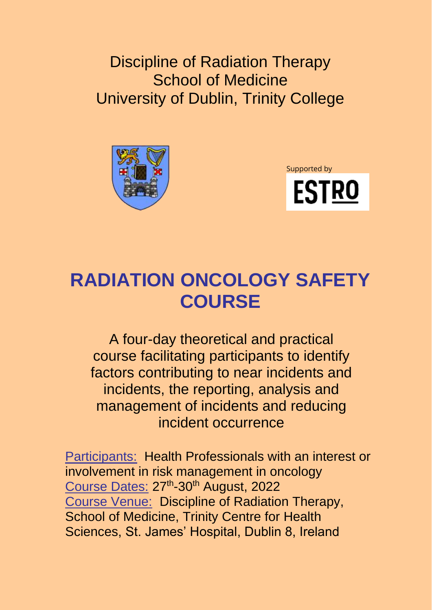Discipline of Radiation Therapy School of Medicine University of Dublin, Trinity College





# **RADIATION ONCOLOGY SAFETY COURSE**

A four-day theoretical and practical course facilitating participants to identify factors contributing to near incidents and incidents, the reporting, analysis and management of incidents and reducing incident occurrence

**Participants: Health Professionals with an interest or** involvement in risk management in oncology Course Dates: 27<sup>th</sup>-30<sup>th</sup> August, 2022 Course Venue: Discipline of Radiation Therapy, School of Medicine, Trinity Centre for Health Sciences, St. James' Hospital, Dublin 8, Ireland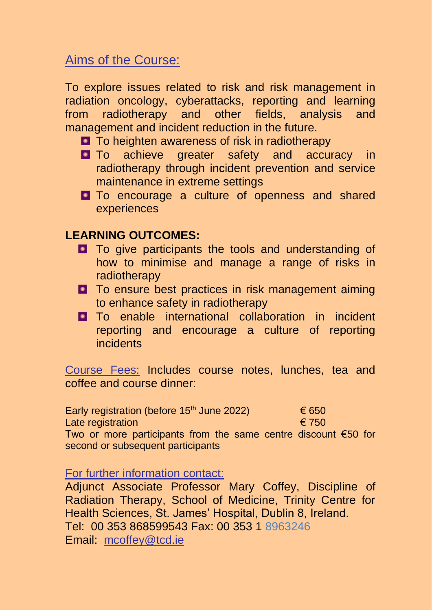### Aims of the Course:

To explore issues related to risk and risk management in radiation oncology, cyberattacks, reporting and learning from radiotherapy and other fields, analysis and management and incident reduction in the future.

- **T** To heighten awareness of risk in radiotherapy
- **D** To achieve greater safety and accuracy in radiotherapy through incident prevention and service maintenance in extreme settings
- **D** To encourage a culture of openness and shared experiences

#### **LEARNING OUTCOMES:**

- **T** To give participants the tools and understanding of how to minimise and manage a range of risks in radiotherapy
- **D** To ensure best practices in risk management aiming to enhance safety in radiotherapy
- **D** To enable international collaboration in incident reporting and encourage a culture of reporting incidents

Course Fees: Includes course notes, lunches, tea and coffee and course dinner:

| Early registration (before 15 <sup>th</sup> June 2022) | € 650 |
|--------------------------------------------------------|-------|
| Late registration                                      | € 750 |
| Two or more participants from the same centre discount |       |

Two or more participants from the same centre discount €50 for second or subsequent participants

For further information contact:

Adjunct Associate Professor Mary Coffey, Discipline of Radiation Therapy, School of Medicine, Trinity Centre for Health Sciences, St. James' Hospital, Dublin 8, Ireland. Tel: 00 353 868599543 Fax: 00 353 1 8963246 Email: mcoffey@tcd.ie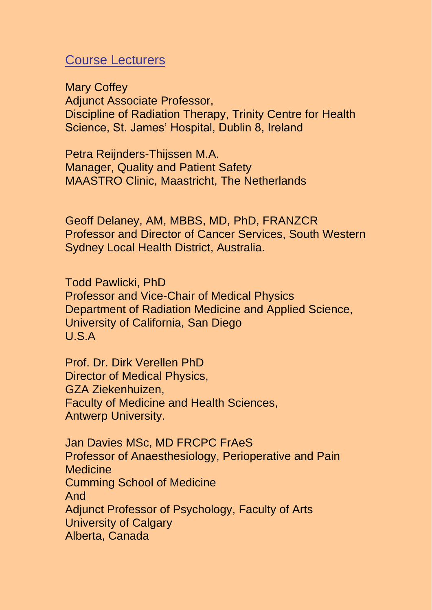#### Course Lecturers

Mary Coffey Adjunct Associate Professor, Discipline of Radiation Therapy, Trinity Centre for Health Science, St. James' Hospital, Dublin 8, Ireland

Petra Reijnders-Thijssen M.A. Manager, Quality and Patient Safety MAASTRO Clinic, Maastricht, The Netherlands

Geoff Delaney, AM, MBBS, MD, PhD, FRANZCR Professor and Director of Cancer Services, South Western Sydney Local Health District, Australia.

Todd Pawlicki, PhD Professor and Vice-Chair of Medical Physics Department of Radiation Medicine and Applied Science, University of California, San Diego U.S.A

Prof. Dr. Dirk Verellen PhD Director of Medical Physics, GZA Ziekenhuizen, Faculty of Medicine and Health Sciences, Antwerp University.

Jan Davies MSc, MD FRCPC FrAeS Professor of Anaesthesiology, Perioperative and Pain **Medicine** Cumming School of Medicine And Adjunct Professor of Psychology, Faculty of Arts University of Calgary Alberta, Canada